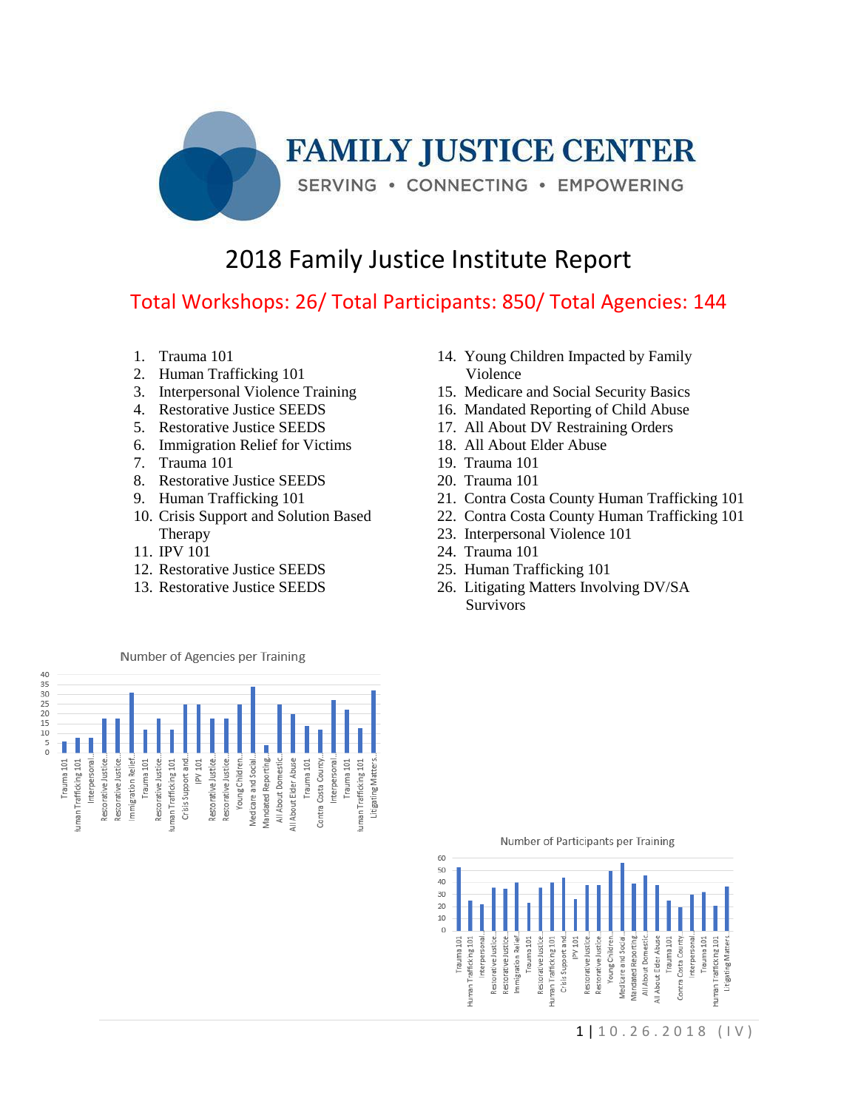

## 2018 Family Justice Institute Report

## Total Workshops: 26/ Total Participants: 850/ Total Agencies: 144

- 1. Trauma 101
- 2. Human Trafficking 101
- 3. Interpersonal Violence Training
- 4. Restorative Justice SEEDS
- 5. Restorative Justice SEEDS
- 6. Immigration Relief for Victims
- 7. Trauma 101
- 8. Restorative Justice SEEDS
- 9. Human Trafficking 101
- 10. Crisis Support and Solution Based Therapy
- 11. IPV 101
- 12. Restorative Justice SEEDS
- 13. Restorative Justice SEEDS
- 14. Young Children Impacted by Family Violence
- 15. Medicare and Social Security Basics
- 16. Mandated Reporting of Child Abuse
- 17. All About DV Restraining Orders
- 18. All About Elder Abuse
- 19. Trauma 101
- 20. Trauma 101
- 21. Contra Costa County Human Trafficking 101
- 22. Contra Costa County Human Trafficking 101
- 23. Interpersonal Violence 101
- 24. Trauma 101
- 25. Human Trafficking 101
- 26. Litigating Matters Involving DV/SA Survivors



Number of Participants per Training

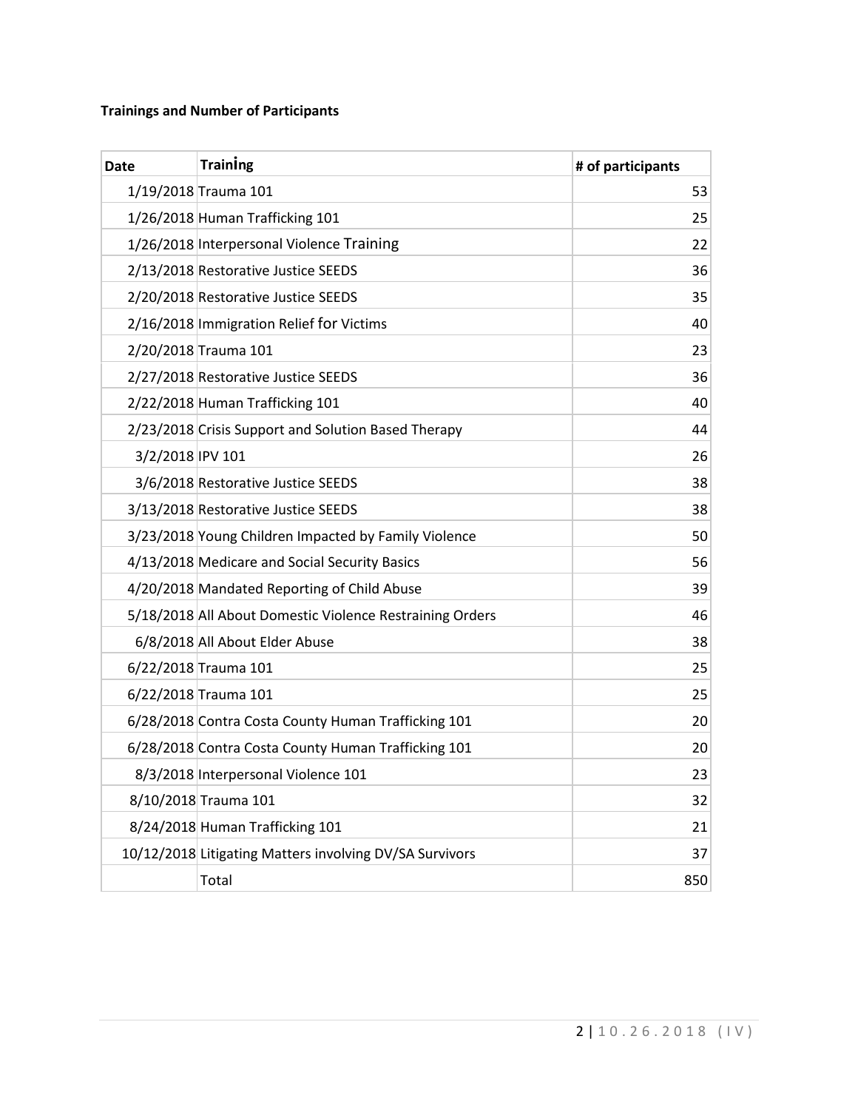## **Trainings and Number of Participants**

| <b>Date</b>      | <b>Training</b>                                          | # of participants |
|------------------|----------------------------------------------------------|-------------------|
|                  | 1/19/2018 Trauma 101                                     | 53                |
|                  | 1/26/2018 Human Trafficking 101                          | 25                |
|                  | 1/26/2018 Interpersonal Violence Training                | 22                |
|                  | 2/13/2018 Restorative Justice SEEDS                      | 36                |
|                  | 2/20/2018 Restorative Justice SEEDS                      | 35                |
|                  | 2/16/2018 Immigration Relief for Victims                 | 40                |
|                  | 2/20/2018 Trauma 101                                     | 23                |
|                  | 2/27/2018 Restorative Justice SEEDS                      | 36                |
|                  | 2/22/2018 Human Trafficking 101                          | 40                |
|                  | 2/23/2018 Crisis Support and Solution Based Therapy      | 44                |
| 3/2/2018 IPV 101 |                                                          | 26                |
|                  | 3/6/2018 Restorative Justice SEEDS                       | 38                |
|                  | 3/13/2018 Restorative Justice SEEDS                      | 38                |
|                  | 3/23/2018 Young Children Impacted by Family Violence     | 50                |
|                  | 4/13/2018 Medicare and Social Security Basics            | 56                |
|                  | 4/20/2018 Mandated Reporting of Child Abuse              | 39                |
|                  | 5/18/2018 All About Domestic Violence Restraining Orders | 46                |
|                  | 6/8/2018 All About Elder Abuse                           | 38                |
|                  | 6/22/2018 Trauma 101                                     | 25                |
|                  | 6/22/2018 Trauma 101                                     | 25                |
|                  | 6/28/2018 Contra Costa County Human Trafficking 101      | 20                |
|                  | 6/28/2018 Contra Costa County Human Trafficking 101      | 20                |
|                  | 8/3/2018 Interpersonal Violence 101                      | 23                |
|                  | 8/10/2018 Trauma 101                                     | 32                |
|                  | 8/24/2018 Human Trafficking 101                          | 21                |
|                  | 10/12/2018 Litigating Matters involving DV/SA Survivors  | 37                |
|                  | Total                                                    | 850               |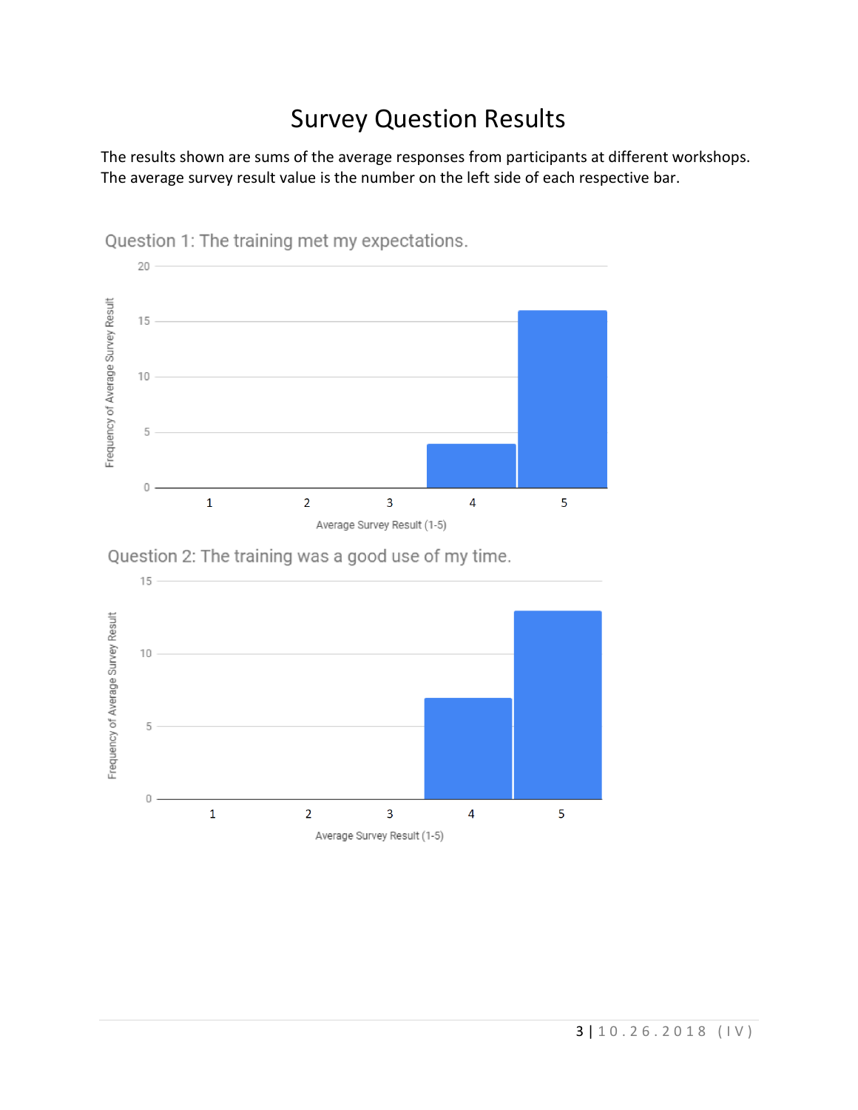## Survey Question Results

The results shown are sums of the average responses from participants at different workshops. The average survey result value is the number on the left side of each respective bar.



Question 1: The training met my expectations.

Question 2: The training was a good use of my time.

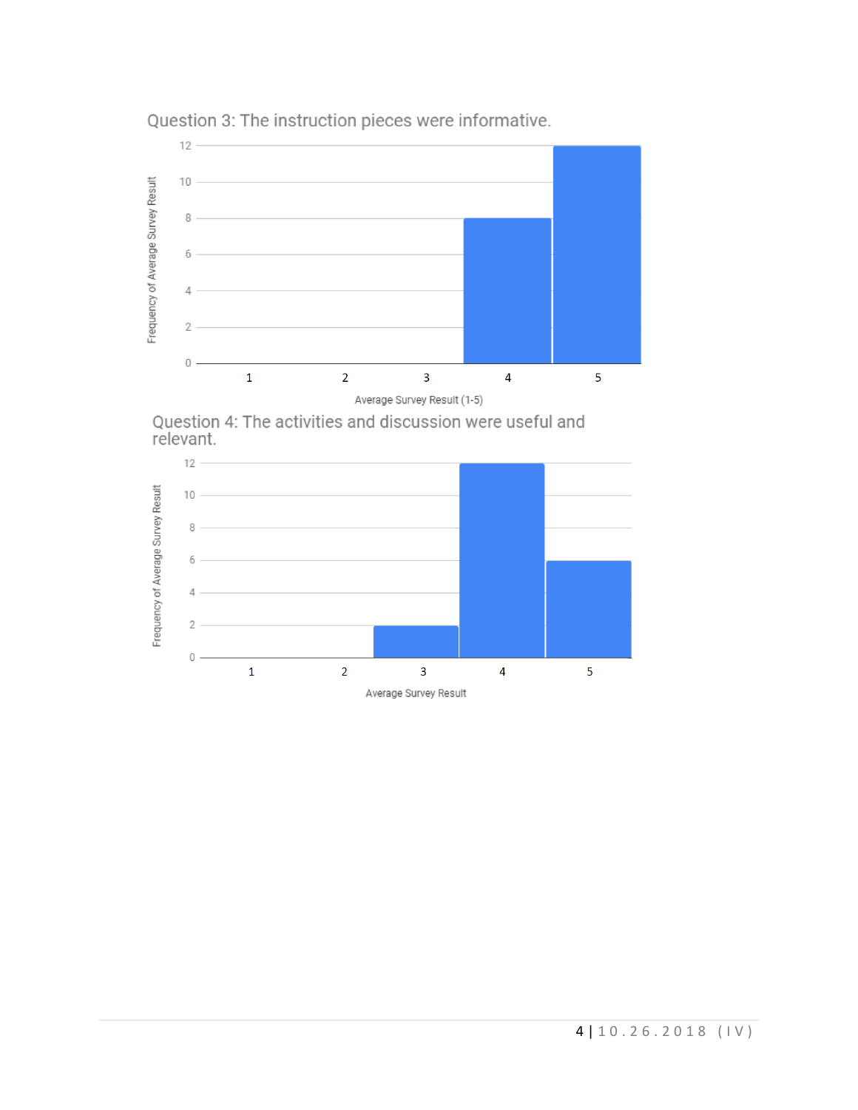

Question 3: The instruction pieces were informative.

Question 4: The activities and discussion were useful and relevant.